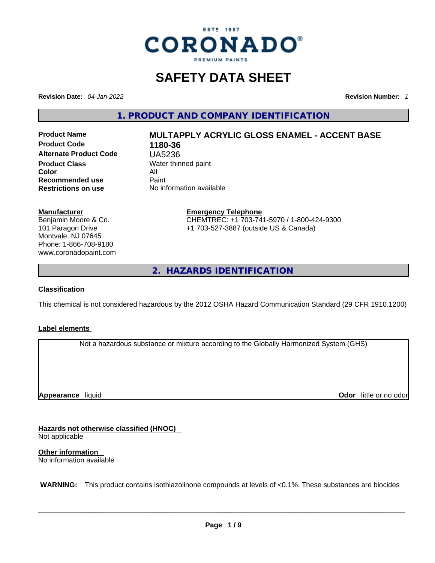

### **SAFETY DATA SHEET**

**Revision Date:** *04-Jan-2022* **Revision Number:** *1*

**1. PRODUCT AND COMPANY IDENTIFICATION** 

**Product Code 1180-36 Alternate Product Code** UA5236 **Product Class Water thinned paint**<br> **Color Color** All **Recommended use Paint Restrictions on use** No information available

# **Product Name MULTAPPLY ACRYLIC GLOSS ENAMEL - ACCENT BASE**

#### **Manufacturer**

Benjamin Moore & Co. 101 Paragon Drive Montvale, NJ 07645 Phone: 1-866-708-9180 www.coronadopaint.com

# **Emergency Telephone**

CHEMTREC: +1 703-741-5970 / 1-800-424-9300 +1 703-527-3887 (outside US & Canada)

**2. HAZARDS IDENTIFICATION** 

#### **Classification**

This chemical is not considered hazardous by the 2012 OSHA Hazard Communication Standard (29 CFR 1910.1200)

#### **Label elements**

Not a hazardous substance or mixture according to the Globally Harmonized System (GHS)

**Appearance** liquid

**Odor** little or no odor

**Hazards not otherwise classified (HNOC)**  Not applicable

**Other information**  No information available

 **WARNING:** This product contains isothiazolinone compounds at levels of <0.1%. These substances are biocides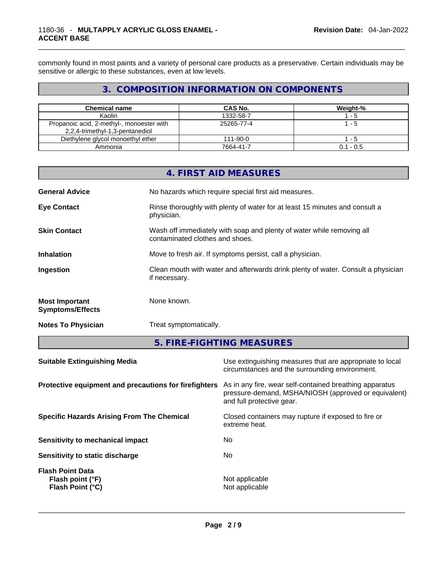commonly found in most paints and a variety of personal care products as a preservative. Certain individuals may be sensitive or allergic to these substances, even at low levels.

#### **3. COMPOSITION INFORMATION ON COMPONENTS**

| <b>Chemical name</b>                                                         | CAS No.        | Weight-%    |
|------------------------------------------------------------------------------|----------------|-------------|
| Kaolin                                                                       | 1332-58-7      | $-5$        |
| Propanoic acid, 2-methyl-, monoester with<br>2,2,4-trimethyl-1,3-pentanediol | 25265-77-4     | - 5         |
| Diethylene glycol monoethyl ether                                            | $111 - 90 - 0$ | $-5$        |
| Ammonia                                                                      | 7664-41-7      | $0.1 - 0.5$ |

|                                                  | 4. FIRST AID MEASURES                                                                                    |
|--------------------------------------------------|----------------------------------------------------------------------------------------------------------|
| <b>General Advice</b>                            | No hazards which require special first aid measures.                                                     |
| <b>Eye Contact</b>                               | Rinse thoroughly with plenty of water for at least 15 minutes and consult a<br>physician.                |
| <b>Skin Contact</b>                              | Wash off immediately with soap and plenty of water while removing all<br>contaminated clothes and shoes. |
| <b>Inhalation</b>                                | Move to fresh air. If symptoms persist, call a physician.                                                |
| Ingestion                                        | Clean mouth with water and afterwards drink plenty of water. Consult a physician<br>if necessary.        |
| <b>Most Important</b><br><b>Symptoms/Effects</b> | None known.                                                                                              |
| <b>Notes To Physician</b>                        | Treat symptomatically.                                                                                   |

**5. FIRE-FIGHTING MEASURES** 

| Use extinguishing measures that are appropriate to local<br>circumstances and the surrounding environment.                                                                                            |
|-------------------------------------------------------------------------------------------------------------------------------------------------------------------------------------------------------|
| Protective equipment and precautions for firefighters<br>As in any fire, wear self-contained breathing apparatus<br>pressure-demand, MSHA/NIOSH (approved or equivalent)<br>and full protective gear. |
| Closed containers may rupture if exposed to fire or<br>extreme heat.                                                                                                                                  |
| No.                                                                                                                                                                                                   |
| No.                                                                                                                                                                                                   |
| Not applicable<br>Not applicable                                                                                                                                                                      |
|                                                                                                                                                                                                       |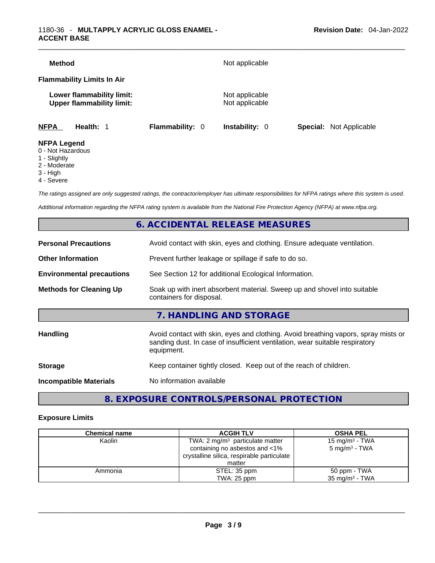| <b>Method</b>                     |                                                               |                        | Not applicable                   |                                |
|-----------------------------------|---------------------------------------------------------------|------------------------|----------------------------------|--------------------------------|
| <b>Flammability Limits In Air</b> |                                                               |                        |                                  |                                |
|                                   | Lower flammability limit:<br><b>Upper flammability limit:</b> |                        | Not applicable<br>Not applicable |                                |
| <b>NFPA</b>                       | Health: 1                                                     | <b>Flammability: 0</b> | <b>Instability: 0</b>            | <b>Special:</b> Not Applicable |
| <b>NFPA Legend</b>                |                                                               |                        |                                  |                                |

- 0 Not Hazardous
- 1 Slightly
- 2 Moderate
- 3 High
- 4 Severe

*The ratings assigned are only suggested ratings, the contractor/employer has ultimate responsibilities for NFPA ratings where this system is used.* 

*Additional information regarding the NFPA rating system is available from the National Fire Protection Agency (NFPA) at www.nfpa.org.* 

#### **6. ACCIDENTAL RELEASE MEASURES**

| <b>Personal Precautions</b>      | Avoid contact with skin, eyes and clothing. Ensure adequate ventilation.                                                                                                         |  |
|----------------------------------|----------------------------------------------------------------------------------------------------------------------------------------------------------------------------------|--|
| <b>Other Information</b>         | Prevent further leakage or spillage if safe to do so.                                                                                                                            |  |
| <b>Environmental precautions</b> | See Section 12 for additional Ecological Information.                                                                                                                            |  |
| <b>Methods for Cleaning Up</b>   | Soak up with inert absorbent material. Sweep up and shovel into suitable<br>containers for disposal.                                                                             |  |
|                                  | 7. HANDLING AND STORAGE                                                                                                                                                          |  |
|                                  |                                                                                                                                                                                  |  |
| Handling                         | Avoid contact with skin, eyes and clothing. Avoid breathing vapors, spray mists or<br>sanding dust. In case of insufficient ventilation, wear suitable respiratory<br>equipment. |  |
| <b>Storage</b>                   | Keep container tightly closed. Keep out of the reach of children.                                                                                                                |  |

#### **8. EXPOSURE CONTROLS/PERSONAL PROTECTION**

#### **Exposure Limits**

| <b>Chemical name</b> | <b>ACGIH TLV</b>                           | <b>OSHA PEL</b>            |
|----------------------|--------------------------------------------|----------------------------|
| Kaolin               | TWA: 2 $mg/m3$ particulate matter          | 15 mg/m <sup>3</sup> - TWA |
|                      | containing no asbestos and <1%             | $5 \text{ mg/m}^3$ - TWA   |
|                      | crystalline silica, respirable particulate |                            |
|                      | matter                                     |                            |
| Ammonia              | STEL: 35 ppm                               | 50 ppm - TWA               |
|                      | TWA: 25 ppm                                | $35 \text{ mg/m}^3$ - TWA  |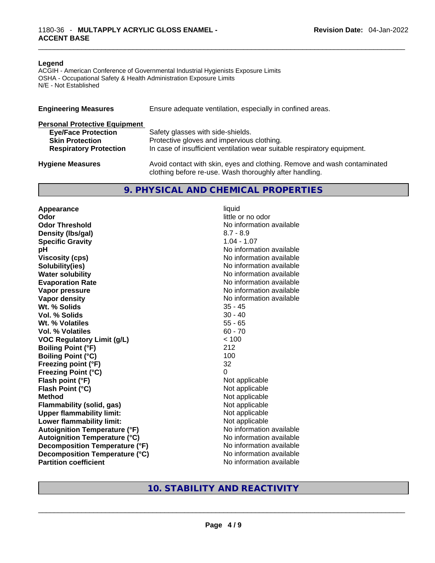#### **Legend**

ACGIH - American Conference of Governmental Industrial Hygienists Exposure Limits OSHA - Occupational Safety & Health Administration Exposure Limits N/E - Not Established

| <b>Engineering Measures</b>          | Ensure adequate ventilation, especially in confined areas.                                                                          |  |  |
|--------------------------------------|-------------------------------------------------------------------------------------------------------------------------------------|--|--|
| <b>Personal Protective Equipment</b> |                                                                                                                                     |  |  |
| <b>Eye/Face Protection</b>           | Safety glasses with side-shields.                                                                                                   |  |  |
| <b>Skin Protection</b>               | Protective gloves and impervious clothing.                                                                                          |  |  |
| <b>Respiratory Protection</b>        | In case of insufficient ventilation wear suitable respiratory equipment.                                                            |  |  |
| <b>Hygiene Measures</b>              | Avoid contact with skin, eyes and clothing. Remove and wash contaminated<br>clothing before re-use. Wash thoroughly after handling. |  |  |

#### **9. PHYSICAL AND CHEMICAL PROPERTIES**

**Appearance** liquid **Odor** little or no odor **Odor Threshold** No information available **Density (lbs/gal)** 8.7 - 8.9 **Specific Gravity** 1.04 - 1.07 **pH bH** *pH* **Viscosity (cps) Viscosity (cps) No information available Solubility(ies)**<br> **No information available**<br> **Water solubility**<br> **Water solubility Evaporation Rate No information available No information available Vapor pressure**  No information available **Vapor density No information available No** information available **Wt. % Solids** 35 - 45 **Vol. % Solids Wt. % Volatiles** 55 - 65 **Vol. % Volatiles** 60 - 70 **VOC Regulatory Limit (g/L)** < 100 **Boiling Point (°F)** 212 **Boiling Point (°C) Freezing point (°F)** 32 **Freezing Point (°C)** 0 **Flash point (°F) Flash Point (°C)** Not applicable **Method**<br> **Plammability (solid, gas)**<br> **Plammability (solid, gas)**<br> **Not** applicable **Flammability** (solid, gas) **Upper flammability limit:** Not applicable **Lower flammability limit:** Not applicable **Autoignition Temperature (°F)** No information available **Autoignition Temperature (°C)**<br> **Decomposition Temperature (°F)** No information available **Decomposition Temperature (°F) Decomposition Temperature (°C)** No information available

**No information available** 

### **Partition coefficient**<br>No information available<br>No information available<br>No information available<br>No information available<br>No information available<br>No information available<br>No information available<br>No information availabl **10. STABILITY AND REACTIVITY**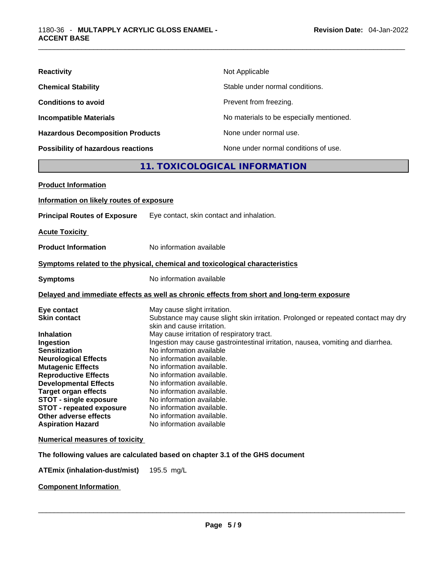| <b>Reactivity</b>                         | Not Applicable                           |
|-------------------------------------------|------------------------------------------|
| <b>Chemical Stability</b>                 | Stable under normal conditions.          |
| <b>Conditions to avoid</b>                | Prevent from freezing.                   |
| <b>Incompatible Materials</b>             | No materials to be especially mentioned. |
| <b>Hazardous Decomposition Products</b>   | None under normal use.                   |
| <b>Possibility of hazardous reactions</b> | None under normal conditions of use.     |

#### **11. TOXICOLOGICAL INFORMATION**

| <b>Product Information</b>                                                                                                                                                                                                                                                                                                                                                     |                                                                                                                                                                                                                                                                                                                                                                                                                                                                                                                                                                                  |  |
|--------------------------------------------------------------------------------------------------------------------------------------------------------------------------------------------------------------------------------------------------------------------------------------------------------------------------------------------------------------------------------|----------------------------------------------------------------------------------------------------------------------------------------------------------------------------------------------------------------------------------------------------------------------------------------------------------------------------------------------------------------------------------------------------------------------------------------------------------------------------------------------------------------------------------------------------------------------------------|--|
| Information on likely routes of exposure                                                                                                                                                                                                                                                                                                                                       |                                                                                                                                                                                                                                                                                                                                                                                                                                                                                                                                                                                  |  |
| <b>Principal Routes of Exposure</b>                                                                                                                                                                                                                                                                                                                                            | Eye contact, skin contact and inhalation.                                                                                                                                                                                                                                                                                                                                                                                                                                                                                                                                        |  |
| <b>Acute Toxicity</b>                                                                                                                                                                                                                                                                                                                                                          |                                                                                                                                                                                                                                                                                                                                                                                                                                                                                                                                                                                  |  |
| <b>Product Information</b>                                                                                                                                                                                                                                                                                                                                                     | No information available                                                                                                                                                                                                                                                                                                                                                                                                                                                                                                                                                         |  |
| Symptoms related to the physical, chemical and toxicological characteristics                                                                                                                                                                                                                                                                                                   |                                                                                                                                                                                                                                                                                                                                                                                                                                                                                                                                                                                  |  |
| <b>Symptoms</b>                                                                                                                                                                                                                                                                                                                                                                | No information available                                                                                                                                                                                                                                                                                                                                                                                                                                                                                                                                                         |  |
|                                                                                                                                                                                                                                                                                                                                                                                | Delayed and immediate effects as well as chronic effects from short and long-term exposure                                                                                                                                                                                                                                                                                                                                                                                                                                                                                       |  |
| Eye contact<br><b>Skin contact</b><br><b>Inhalation</b><br>Ingestion<br><b>Sensitization</b><br><b>Neurological Effects</b><br><b>Mutagenic Effects</b><br><b>Reproductive Effects</b><br><b>Developmental Effects</b><br><b>Target organ effects</b><br><b>STOT - single exposure</b><br><b>STOT - repeated exposure</b><br>Other adverse effects<br><b>Aspiration Hazard</b> | May cause slight irritation.<br>Substance may cause slight skin irritation. Prolonged or repeated contact may dry<br>skin and cause irritation.<br>May cause irritation of respiratory tract.<br>Ingestion may cause gastrointestinal irritation, nausea, vomiting and diarrhea.<br>No information available<br>No information available.<br>No information available.<br>No information available.<br>No information available.<br>No information available.<br>No information available.<br>No information available.<br>No information available.<br>No information available |  |
| <b>Numerical measures of toxicity</b>                                                                                                                                                                                                                                                                                                                                          |                                                                                                                                                                                                                                                                                                                                                                                                                                                                                                                                                                                  |  |
|                                                                                                                                                                                                                                                                                                                                                                                | The following values are calculated based on chapter 3.1 of the GHS document                                                                                                                                                                                                                                                                                                                                                                                                                                                                                                     |  |
| <b>ATEmix (inhalation-dust/mist)</b>                                                                                                                                                                                                                                                                                                                                           | 195.5 mg/L                                                                                                                                                                                                                                                                                                                                                                                                                                                                                                                                                                       |  |

**Component Information**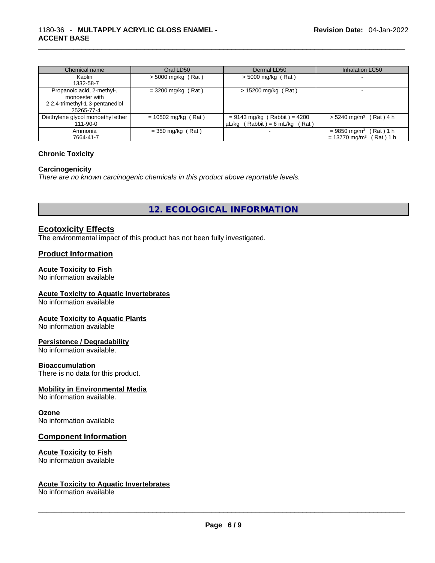| Chemical name                     | Oral LD50             | Dermal LD50                         | <b>Inhalation LC50</b>                   |
|-----------------------------------|-----------------------|-------------------------------------|------------------------------------------|
| Kaolin                            | $>$ 5000 mg/kg (Rat)  | $>$ 5000 mg/kg (Rat)                |                                          |
| 1332-58-7                         |                       |                                     |                                          |
| Propanoic acid, 2-methyl-,        | $=$ 3200 mg/kg (Rat)  | $> 15200$ mg/kg (Rat)               |                                          |
| monoester with                    |                       |                                     |                                          |
| 2,2,4-trimethyl-1,3-pentanediol   |                       |                                     |                                          |
| 25265-77-4                        |                       |                                     |                                          |
| Diethylene glycol monoethyl ether | $= 10502$ mg/kg (Rat) | $= 9143$ mg/kg (Rabbit) = 4200      | $> 5240$ mg/m <sup>3</sup> (Rat) 4 h     |
| 111-90-0                          |                       | $\mu L/kg$ (Rabbit) = 6 mL/kg (Rat) |                                          |
| Ammonia                           | $=$ 350 mg/kg (Rat)   |                                     | $= 9850$ mg/m <sup>3</sup><br>(Rat) 1 h  |
| 7664-41-7                         |                       |                                     | $= 13770$ mg/m <sup>3</sup><br>Rat ) 1 h |

#### **Chronic Toxicity**

#### **Carcinogenicity**

*There are no known carcinogenic chemicals in this product above reportable levels.* 

**12. ECOLOGICAL INFORMATION** 

#### **Ecotoxicity Effects**

The environmental impact of this product has not been fully investigated.

#### **Product Information**

#### **Acute Toxicity to Fish**

No information available

#### **Acute Toxicity to Aquatic Invertebrates**

No information available

#### **Acute Toxicity to Aquatic Plants**

No information available

#### **Persistence / Degradability**

No information available.

#### **Bioaccumulation**

There is no data for this product.

#### **Mobility in Environmental Media**

No information available.

#### **Ozone**

No information available

#### **Component Information**

#### **Acute Toxicity to Fish**

## No information available<br>
Acute Toxicity to Aquatic Invertebrates<br>
No information available<br>
No information available **Acute Toxicity to Aquatic Invertebrates**

No information available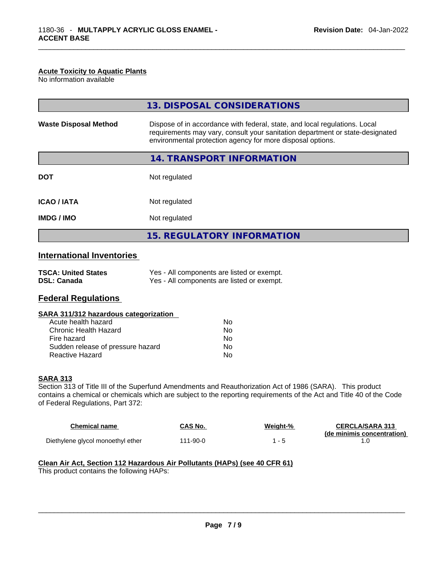#### **Acute Toxicity to Aquatic Plants**

No information available

|                                  | 13. DISPOSAL CONSIDERATIONS                                                                                                                                                                                               |
|----------------------------------|---------------------------------------------------------------------------------------------------------------------------------------------------------------------------------------------------------------------------|
| <b>Waste Disposal Method</b>     | Dispose of in accordance with federal, state, and local regulations. Local<br>requirements may vary, consult your sanitation department or state-designated<br>environmental protection agency for more disposal options. |
|                                  | 14. TRANSPORT INFORMATION                                                                                                                                                                                                 |
| <b>DOT</b>                       | Not regulated                                                                                                                                                                                                             |
| <b>ICAO/IATA</b>                 | Not regulated                                                                                                                                                                                                             |
| IMDG / IMO                       | Not regulated                                                                                                                                                                                                             |
|                                  | <b>15. REGULATORY INFORMATION</b>                                                                                                                                                                                         |
| <b>International Inventories</b> |                                                                                                                                                                                                                           |

| <b>TSCA: United States</b> | Yes - All components are listed or exempt. |
|----------------------------|--------------------------------------------|
| <b>DSL: Canada</b>         | Yes - All components are listed or exempt. |

#### **Federal Regulations**

#### **SARA 311/312 hazardous categorization**

| Acute health hazard               | Nο |
|-----------------------------------|----|
| Chronic Health Hazard             | Nο |
| Fire hazard                       | Nο |
| Sudden release of pressure hazard | Nο |
| Reactive Hazard                   | N٥ |

#### **SARA 313**

Section 313 of Title III of the Superfund Amendments and Reauthorization Act of 1986 (SARA). This product contains a chemical or chemicals which are subject to the reporting requirements of the Act and Title 40 of the Code of Federal Regulations, Part 372:

| <b>Chemical name</b>              | CAS No.  | Weight-% | <b>CERCLA/SARA 313</b>     |
|-----------------------------------|----------|----------|----------------------------|
| Diethylene glycol monoethyl ether | 111-90-0 |          | (de minimis concentration) |

### **Clean Air Act,Section 112 Hazardous Air Pollutants (HAPs) (see 40 CFR 61)**

This product contains the following HAPs: \_\_\_\_\_\_\_\_\_\_\_\_\_\_\_\_\_\_\_\_\_\_\_\_\_\_\_\_\_\_\_\_\_\_\_\_\_\_\_\_\_\_\_\_\_\_\_\_\_\_\_\_\_\_\_\_\_\_\_\_\_\_\_\_\_\_\_\_\_\_\_\_\_\_\_\_\_\_\_\_\_\_\_\_\_\_\_\_\_\_\_\_\_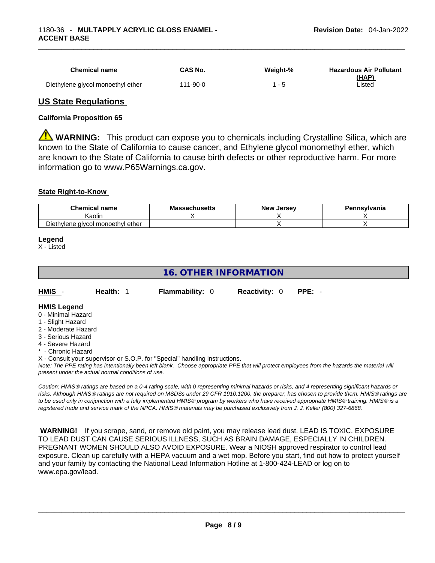| <b>Chemical name</b>              | CAS No.        | Weight-% | <b>Hazardous Air Pollutant</b><br>(HAP) |
|-----------------------------------|----------------|----------|-----------------------------------------|
| Diethylene glycol monoethyl ether | $111 - 90 - 0$ |          | ∟isted                                  |

#### **US State Regulations**

#### **California Proposition 65**

**WARNING:** This product can expose you to chemicals including Crystalline Silica, which are known to the State of California to cause cancer, and Ethylene glycol monomethyl ether, which are known to the State of California to cause birth defects or other reproductive harm. For more information go to www.P65Warnings.ca.gov.

#### **State Right-to-Know**

| <b>Chemical</b><br>name           | <b>Massachusetts</b> | . Jersev<br>New | Pennsvlvania |
|-----------------------------------|----------------------|-----------------|--------------|
| aolir)                            |                      |                 |              |
| Diethylene glycol monoethyl ether |                      |                 |              |

#### **Legend**

X - Listed

#### **16. OTHER INFORMATION**

**HMIS** - **Health:** 1 **Flammability:** 0 **Reactivity:** 0 **PPE:** -

#### **HMIS Legend**

- 0 Minimal Hazard
- 1 Slight Hazard
- 2 Moderate Hazard
- 3 Serious Hazard
- 4 Severe Hazard
- Chronic Hazard
- X Consult your supervisor or S.O.P. for "Special" handling instructions.

*Note: The PPE rating has intentionally been left blank. Choose appropriate PPE that will protect employees from the hazards the material will present under the actual normal conditions of use.* 

*Caution: HMISÒ ratings are based on a 0-4 rating scale, with 0 representing minimal hazards or risks, and 4 representing significant hazards or risks. Although HMISÒ ratings are not required on MSDSs under 29 CFR 1910.1200, the preparer, has chosen to provide them. HMISÒ ratings are to be used only in conjunction with a fully implemented HMISÒ program by workers who have received appropriate HMISÒ training. HMISÒ is a registered trade and service mark of the NPCA. HMISÒ materials may be purchased exclusively from J. J. Keller (800) 327-6868.* 

 **WARNING!** If you scrape, sand, or remove old paint, you may release lead dust. LEAD IS TOXIC. EXPOSURE TO LEAD DUST CAN CAUSE SERIOUS ILLNESS, SUCH AS BRAIN DAMAGE, ESPECIALLY IN CHILDREN. PREGNANT WOMEN SHOULD ALSO AVOID EXPOSURE.Wear a NIOSH approved respirator to control lead exposure. Clean up carefully with a HEPA vacuum and a wet mop. Before you start, find out how to protect yourself and your family by contacting the National Lead Information Hotline at 1-800-424-LEAD or log on to www.epa.gov/lead.